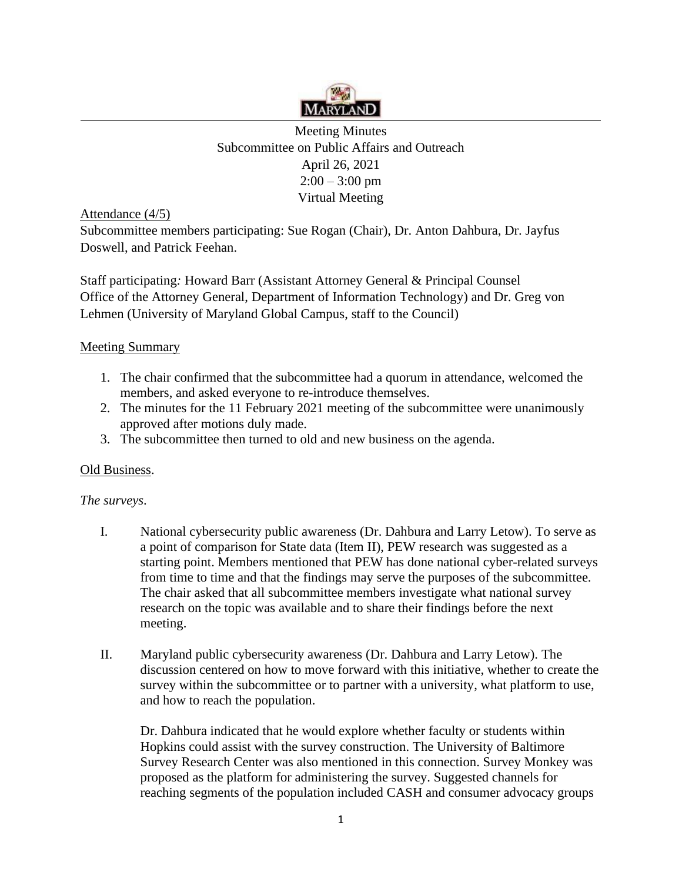

Meeting Minutes Subcommittee on Public Affairs and Outreach April 26, 2021  $2:00 - 3:00$  pm Virtual Meeting

Attendance (4/5)

Subcommittee members participating: Sue Rogan (Chair), Dr. Anton Dahbura, Dr. Jayfus Doswell, and Patrick Feehan.

Staff participating*:* Howard Barr (Assistant Attorney General & Principal Counsel Office of the Attorney General, Department of Information Technology) and Dr. Greg von Lehmen (University of Maryland Global Campus, staff to the Council)

## Meeting Summary

- 1. The chair confirmed that the subcommittee had a quorum in attendance, welcomed the members, and asked everyone to re-introduce themselves.
- 2. The minutes for the 11 February 2021 meeting of the subcommittee were unanimously approved after motions duly made.
- 3. The subcommittee then turned to old and new business on the agenda.

## Old Business.

*The surveys*.

- I. National cybersecurity public awareness (Dr. Dahbura and Larry Letow). To serve as a point of comparison for State data (Item II), PEW research was suggested as a starting point. Members mentioned that PEW has done national cyber-related surveys from time to time and that the findings may serve the purposes of the subcommittee. The chair asked that all subcommittee members investigate what national survey research on the topic was available and to share their findings before the next meeting.
- II. Maryland public cybersecurity awareness (Dr. Dahbura and Larry Letow). The discussion centered on how to move forward with this initiative, whether to create the survey within the subcommittee or to partner with a university, what platform to use, and how to reach the population.

Dr. Dahbura indicated that he would explore whether faculty or students within Hopkins could assist with the survey construction. The University of Baltimore Survey Research Center was also mentioned in this connection. Survey Monkey was proposed as the platform for administering the survey. Suggested channels for reaching segments of the population included CASH and consumer advocacy groups